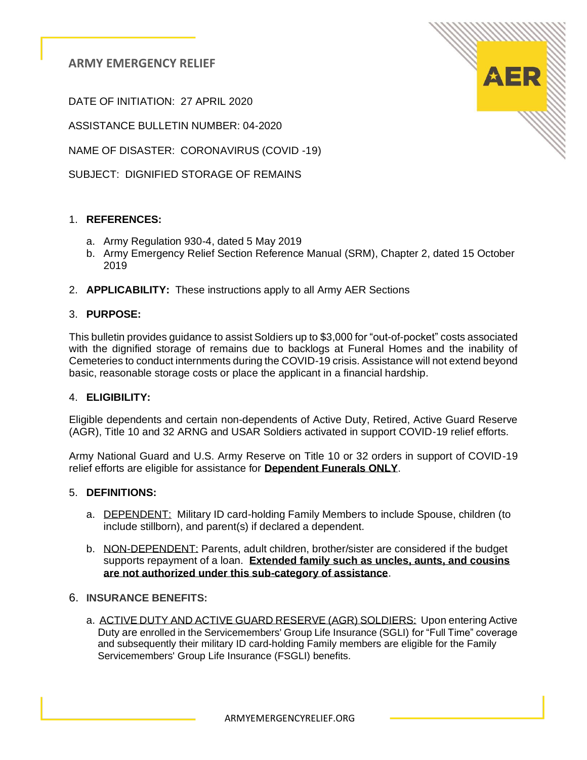DATE OF INITIATION: 27 APRIL 2020

ASSISTANCE BULLETIN NUMBER: 04-2020

NAME OF DISASTER: CORONAVIRUS (COVID -19)

SUBJECT: DIGNIFIED STORAGE OF REMAINS

### 1. **REFERENCES:**

- a. Army Regulation 930-4, dated 5 May 2019
- b. Army Emergency Relief Section Reference Manual (SRM), Chapter 2, dated 15 October 2019
- 2. **APPLICABILITY:** These instructions apply to all Army AER Sections

### 3. **PURPOSE:**

This bulletin provides guidance to assist Soldiers up to \$3,000 for "out-of-pocket" costs associated with the dignified storage of remains due to backlogs at Funeral Homes and the inability of Cemeteries to conduct internments during the COVID-19 crisis. Assistance will not extend beyond basic, reasonable storage costs or place the applicant in a financial hardship.

### 4. **ELIGIBILITY:**

Eligible dependents and certain non-dependents of Active Duty, Retired, Active Guard Reserve (AGR), Title 10 and 32 ARNG and USAR Soldiers activated in support COVID-19 relief efforts.

Army National Guard and U.S. Army Reserve on Title 10 or 32 orders in support of COVID-19 relief efforts are eligible for assistance for **Dependent Funerals ONLY**.

#### 5. **DEFINITIONS:**

- a. DEPENDENT: Military ID card-holding Family Members to include Spouse, children (to include stillborn), and parent(s) if declared a dependent.
- b. NON-DEPENDENT: Parents, adult children, brother/sister are considered if the budget supports repayment of a loan. **Extended family such as uncles, aunts, and cousins are not authorized under this sub-category of assistance**.

### 6. **INSURANCE BENEFITS:**

a. ACTIVE DUTY AND ACTIVE GUARD RESERVE (AGR) SOLDIERS: Upon entering Active Duty are enrolled in the Servicemembers' Group Life Insurance (SGLI) for "Full Time" coverage and subsequently their military ID card-holding Family members are eligible for the Family Servicemembers' Group Life Insurance (FSGLI) benefits.

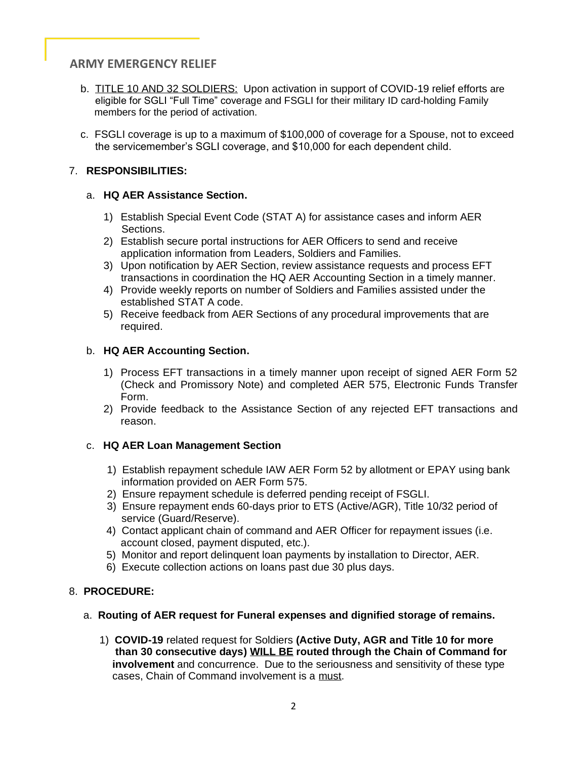- b. TITLE 10 AND 32 SOLDIERS: Upon activation in support of COVID-19 relief efforts are eligible for SGLI "Full Time" coverage and FSGLI for their military ID card-holding Family members for the period of activation.
- c. FSGLI coverage is up to a maximum of \$100,000 of coverage for a Spouse, not to exceed the servicemember's SGLI coverage, and \$10,000 for each dependent child.

## 7. **RESPONSIBILITIES:**

### a. **HQ AER Assistance Section.**

- 1) Establish Special Event Code (STAT A) for assistance cases and inform AER Sections.
- 2) Establish secure portal instructions for AER Officers to send and receive application information from Leaders, Soldiers and Families.
- 3) Upon notification by AER Section, review assistance requests and process EFT transactions in coordination the HQ AER Accounting Section in a timely manner.
- 4) Provide weekly reports on number of Soldiers and Families assisted under the established STAT A code.
- 5) Receive feedback from AER Sections of any procedural improvements that are required.

### b. **HQ AER Accounting Section.**

- 1) Process EFT transactions in a timely manner upon receipt of signed AER Form 52 (Check and Promissory Note) and completed AER 575, Electronic Funds Transfer Form.
- 2) Provide feedback to the Assistance Section of any rejected EFT transactions and reason.

### c. **HQ AER Loan Management Section**

- 1) Establish repayment schedule IAW AER Form 52 by allotment or EPAY using bank information provided on AER Form 575.
- 2) Ensure repayment schedule is deferred pending receipt of FSGLI.
- 3) Ensure repayment ends 60-days prior to ETS (Active/AGR), Title 10/32 period of service (Guard/Reserve).
- 4) Contact applicant chain of command and AER Officer for repayment issues (i.e. account closed, payment disputed, etc.).
- 5) Monitor and report delinquent loan payments by installation to Director, AER.
- 6) Execute collection actions on loans past due 30 plus days.

## 8. **PROCEDURE:**

- a. **Routing of AER request for Funeral expenses and dignified storage of remains.**
	- 1) **COVID-19** related request for Soldiers **(Active Duty, AGR and Title 10 for more than 30 consecutive days) WILL BE routed through the Chain of Command for involvement** and concurrence. Due to the seriousness and sensitivity of these type cases, Chain of Command involvement is a must.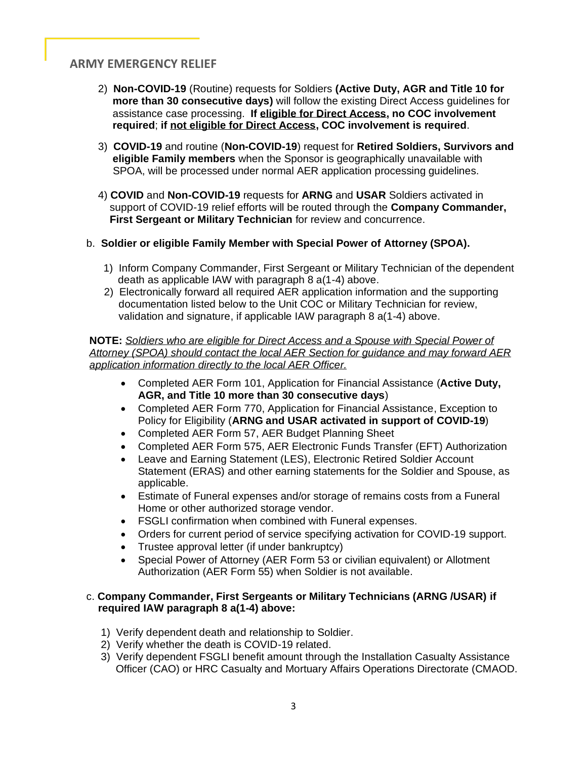- 2) **Non-COVID-19** (Routine) requests for Soldiers **(Active Duty, AGR and Title 10 for more than 30 consecutive days)** will follow the existing Direct Access guidelines for assistance case processing. **If eligible for Direct Access, no COC involvement required**; **if not eligible for Direct Access, COC involvement is required**.
- 3) **COVID-19** and routine (**Non-COVID-19**) request for **Retired Soldiers, Survivors and eligible Family members** when the Sponsor is geographically unavailable with SPOA, will be processed under normal AER application processing guidelines.
- 4) **COVID** and **Non-COVID-19** requests for **ARNG** and **USAR** Soldiers activated in support of COVID-19 relief efforts will be routed through the **Company Commander, First Sergeant or Military Technician** for review and concurrence.

### b. **Soldier or eligible Family Member with Special Power of Attorney (SPOA).**

- 1) Inform Company Commander, First Sergeant or Military Technician of the dependent death as applicable IAW with paragraph 8 a(1-4) above.
- 2) Electronically forward all required AER application information and the supporting documentation listed below to the Unit COC or Military Technician for review, validation and signature, if applicable IAW paragraph 8 a(1-4) above.

 **NOTE:** *Soldiers who are eligible for Direct Access and a Spouse with Special Power of Attorney (SPOA) should contact the local AER Section for guidance and may forward AER application information directly to the local AER Officer.* 

- Completed AER Form 101, Application for Financial Assistance (**Active Duty, AGR, and Title 10 more than 30 consecutive days**)
- Completed AER Form 770, Application for Financial Assistance, Exception to Policy for Eligibility (**ARNG and USAR activated in support of COVID-19**)
- Completed AER Form 57, AER Budget Planning Sheet
- Completed AER Form 575, AER Electronic Funds Transfer (EFT) Authorization
- Leave and Earning Statement (LES), Electronic Retired Soldier Account Statement (ERAS) and other earning statements for the Soldier and Spouse, as applicable.
- Estimate of Funeral expenses and/or storage of remains costs from a Funeral Home or other authorized storage vendor.
- FSGLI confirmation when combined with Funeral expenses.
- Orders for current period of service specifying activation for COVID-19 support.
- Trustee approval letter (if under bankruptcy)
- Special Power of Attorney (AER Form 53 or civilian equivalent) or Allotment Authorization (AER Form 55) when Soldier is not available.

#### c. **Company Commander, First Sergeants or Military Technicians (ARNG /USAR) if required IAW paragraph 8 a(1-4) above:**

- 1) Verify dependent death and relationship to Soldier.
- 2) Verify whether the death is COVID-19 related.
- 3) Verify dependent FSGLI benefit amount through the Installation Casualty Assistance Officer (CAO) or HRC Casualty and Mortuary Affairs Operations Directorate (CMAOD.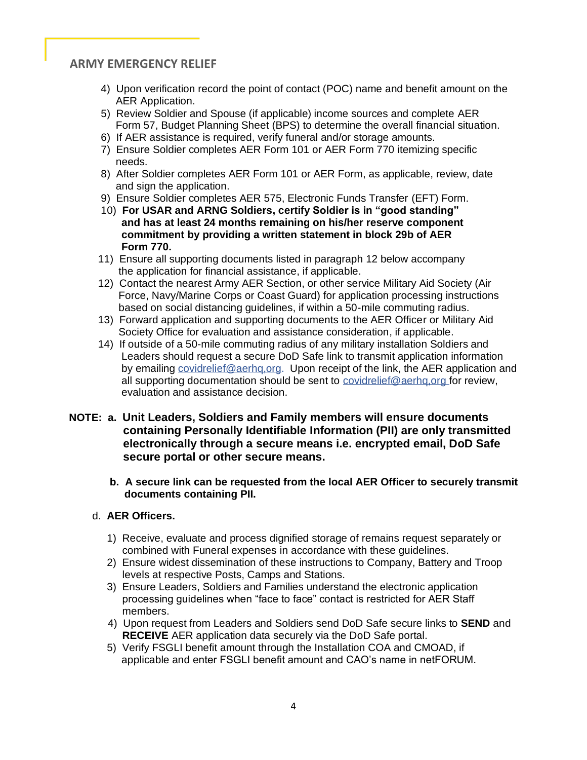- 4) Upon verification record the point of contact (POC) name and benefit amount on the AER Application.
- 5) Review Soldier and Spouse (if applicable) income sources and complete AER Form 57, Budget Planning Sheet (BPS) to determine the overall financial situation.
- 6) If AER assistance is required, verify funeral and/or storage amounts.
- 7) Ensure Soldier completes AER Form 101 or AER Form 770 itemizing specific needs.
- 8) After Soldier completes AER Form 101 or AER Form, as applicable, review, date and sign the application.
- 9) Ensure Soldier completes AER 575, Electronic Funds Transfer (EFT) Form.
- 10) **For USAR and ARNG Soldiers, certify Soldier is in "good standing" and has at least 24 months remaining on his/her reserve component commitment by providing a written statement in block 29b of AER Form 770.**
- 11) Ensure all supporting documents listed in paragraph 12 below accompany the application for financial assistance, if applicable.
- 12) Contact the nearest Army AER Section, or other service Military Aid Society (Air Force, Navy/Marine Corps or Coast Guard) for application processing instructions based on social distancing guidelines, if within a 50-mile commuting radius.
- 13) Forward application and supporting documents to the AER Officer or Military Aid Society Office for evaluation and assistance consideration, if applicable.
- 14) If outside of a 50-mile commuting radius of any military installation Soldiers and Leaders should request a secure DoD Safe link to transmit application information by emailing covidrelief@aerhq,org. Upon receipt of the link, the AER application and all supporting documentation should be sent to covidrelief@aerhq,org for review, evaluation and assistance decision.
- **NOTE: a. Unit Leaders, Soldiers and Family members will ensure documents containing Personally Identifiable Information (PII) are only transmitted electronically through a secure means i.e. encrypted email, DoD Safe secure portal or other secure means.**
	- **b. A secure link can be requested from the local AER Officer to securely transmit documents containing PII.**
	- d. **AER Officers.**
		- 1) Receive, evaluate and process dignified storage of remains request separately or combined with Funeral expenses in accordance with these guidelines.
		- 2) Ensure widest dissemination of these instructions to Company, Battery and Troop levels at respective Posts, Camps and Stations.
		- 3) Ensure Leaders, Soldiers and Families understand the electronic application processing guidelines when "face to face" contact is restricted for AER Staff members.
		- 4) Upon request from Leaders and Soldiers send DoD Safe secure links to **SEND** and **RECEIVE** AER application data securely via the DoD Safe portal.
		- 5) Verify FSGLI benefit amount through the Installation COA and CMOAD, if applicable and enter FSGLI benefit amount and CAO's name in netFORUM.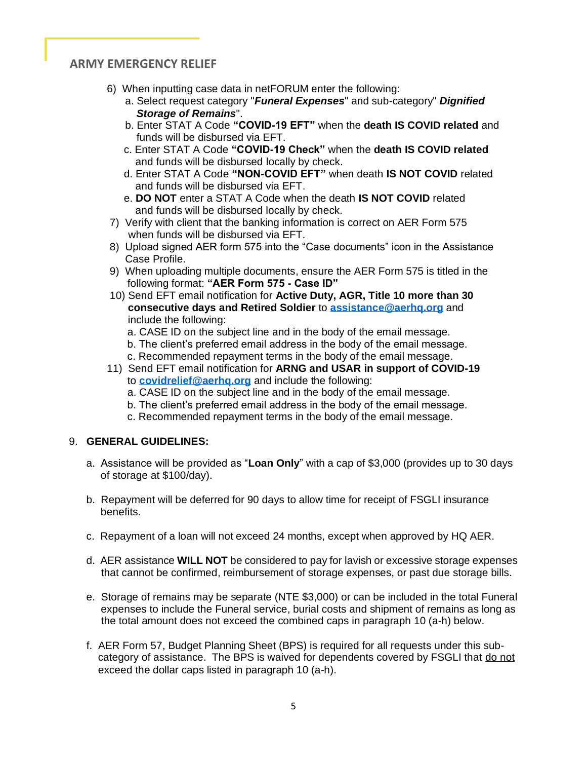- 6) When inputting case data in netFORUM enter the following:
	- a. Select request category "*Funeral Expenses*" and sub-category" *Dignified Storage of Remains*".
	- b. Enter STAT A Code **"COVID-19 EFT"** when the **death IS COVID related** and funds will be disbursed via EFT.
	- c. Enter STAT A Code **"COVID-19 Check"** when the **death IS COVID related** and funds will be disbursed locally by check.
	- d. Enter STAT A Code **"NON-COVID EFT"** when death **IS NOT COVID** related and funds will be disbursed via EFT.
	- e. **DO NOT** enter a STAT A Code when the death **IS NOT COVID** related and funds will be disbursed locally by check.
- 7) Verify with client that the banking information is correct on AER Form 575 when funds will be disbursed via EFT.
- 8) Upload signed AER form 575 into the "Case documents" icon in the Assistance Case Profile.
- 9) When uploading multiple documents, ensure the AER Form 575 is titled in the following format: **"AER Form 575 - Case ID"**
- 10) Send EFT email notification for **Active Duty, AGR, Title 10 more than 30 consecutive days and Retired Soldier** to **[assistance@aerhq.org](mailto:assistance@aerhq.org)** and include the following:
	- a. CASE ID on the subject line and in the body of the email message.
	- b. The client's preferred email address in the body of the email message.
	- c. Recommended repayment terms in the body of the email message.
- 11) Send EFT email notification for **ARNG and USAR in support of COVID-19** to **[covidrelief@aerhq.org](mailto:covidrelief@aerhq.org)** and include the following:
	- a. CASE ID on the subject line and in the body of the email message.
	- b. The client's preferred email address in the body of the email message.
	- c. Recommended repayment terms in the body of the email message.

### 9. **GENERAL GUIDELINES:**

- a. Assistance will be provided as "**Loan Only**" with a cap of \$3,000 (provides up to 30 days of storage at \$100/day).
- b. Repayment will be deferred for 90 days to allow time for receipt of FSGLI insurance benefits.
- c. Repayment of a loan will not exceed 24 months, except when approved by HQ AER.
- d. AER assistance **WILL NOT** be considered to pay for lavish or excessive storage expenses that cannot be confirmed, reimbursement of storage expenses, or past due storage bills.
- e. Storage of remains may be separate (NTE \$3,000) or can be included in the total Funeral expenses to include the Funeral service, burial costs and shipment of remains as long as the total amount does not exceed the combined caps in paragraph 10 (a-h) below.
- f. AER Form 57, Budget Planning Sheet (BPS) is required for all requests under this sub category of assistance. The BPS is waived for dependents covered by FSGLI that do not exceed the dollar caps listed in paragraph 10 (a-h).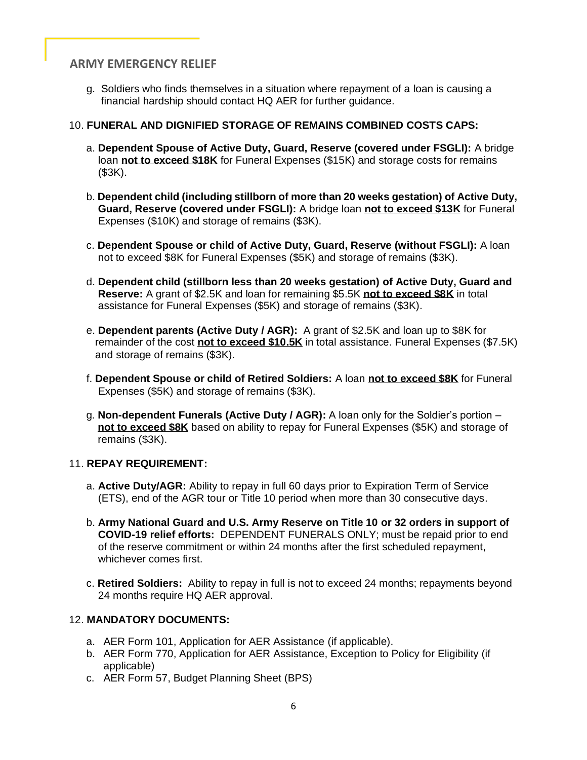g. Soldiers who finds themselves in a situation where repayment of a loan is causing a financial hardship should contact HQ AER for further guidance.

#### 10. **FUNERAL AND DIGNIFIED STORAGE OF REMAINS COMBINED COSTS CAPS:**

- a. **Dependent Spouse of Active Duty, Guard, Reserve (covered under FSGLI):** A bridge loan **not to exceed \$18K** for Funeral Expenses (\$15K) and storage costs for remains (\$3K).
- b. **Dependent child (including stillborn of more than 20 weeks gestation) of Active Duty, Guard, Reserve (covered under FSGLI):** A bridge loan **not to exceed \$13K** for Funeral Expenses (\$10K) and storage of remains (\$3K).
- c. **Dependent Spouse or child of Active Duty, Guard, Reserve (without FSGLI):** A loan not to exceed \$8K for Funeral Expenses (\$5K) and storage of remains (\$3K).
- d. **Dependent child (stillborn less than 20 weeks gestation) of Active Duty, Guard and Reserve:** A grant of \$2.5K and loan for remaining \$5.5K **not to exceed \$8K** in total assistance for Funeral Expenses (\$5K) and storage of remains (\$3K).
- e. **Dependent parents (Active Duty / AGR):** A grant of \$2.5K and loan up to \$8K for remainder of the cost **not to exceed \$10.5K** in total assistance. Funeral Expenses (\$7.5K) and storage of remains (\$3K).
- f. **Dependent Spouse or child of Retired Soldiers:** A loan **not to exceed \$8K** for Funeral Expenses (\$5K) and storage of remains (\$3K).
- g. **Non-dependent Funerals (Active Duty / AGR):** A loan only for the Soldier's portion **not to exceed \$8K** based on ability to repay for Funeral Expenses (\$5K) and storage of remains (\$3K).

#### 11. **REPAY REQUIREMENT:**

- a. **Active Duty/AGR:** Ability to repay in full 60 days prior to Expiration Term of Service (ETS), end of the AGR tour or Title 10 period when more than 30 consecutive days.
- b. **Army National Guard and U.S. Army Reserve on Title 10 or 32 orders in support of COVID-19 relief efforts:** DEPENDENT FUNERALS ONLY; must be repaid prior to end of the reserve commitment or within 24 months after the first scheduled repayment, whichever comes first.
- c. **Retired Soldiers:** Ability to repay in full is not to exceed 24 months; repayments beyond 24 months require HQ AER approval.

### 12. **MANDATORY DOCUMENTS:**

- a. AER Form 101, Application for AER Assistance (if applicable).
- b. AER Form 770, Application for AER Assistance, Exception to Policy for Eligibility (if applicable)
- c. AER Form 57, Budget Planning Sheet (BPS)